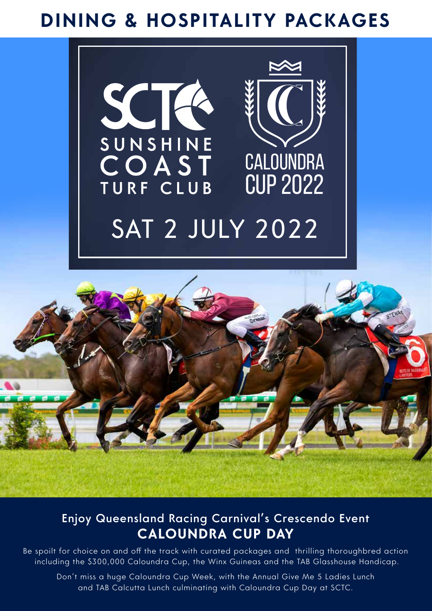# **DINING & HOSPITALITY PACKAGES**





### Enjoy Queensland Racing Carnival's Crescendo Event **CALOUNDRA CUP DAY**

Be spoilt for choice on and off the track with curated packages and thrilling thoroughbred action including the \$300,000 Caloundra Cup, the Winx Guineas and the TAB Glasshouse Handicap.

Don't miss a huge Caloundra Cup Week, with the Annual Give Me 5 Ladies Lunch and TAB Calcutta Lunch culminating with Caloundra Cup Day at SCTC.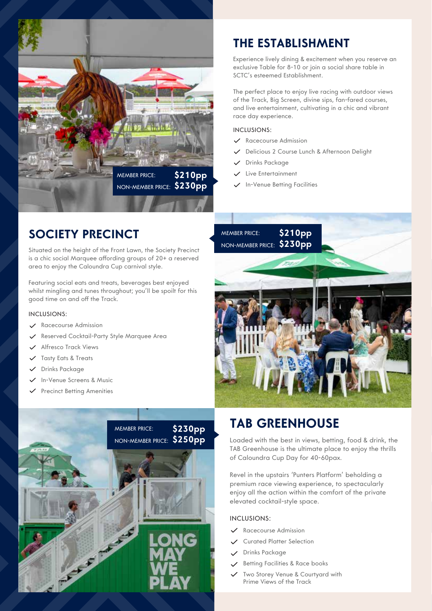

### **SOCIETY PRECINCT**

Situated on the height of the Front Lawn, the Society Precinct is a chic social Marquee affording groups of 20+ a reserved area to enjoy the Caloundra Cup carnival style.

Featuring social eats and treats, beverages best enjoyed whilst mingling and tunes throughout; you'll be spoilt for this good time on and off the Track.

#### INCLUSIONS:

- $\checkmark$ Racecourse Admission
- Reserved Cocktail-Party Style Marquee Area
- Alfresco Track Views  $\checkmark$
- Tasty Eats & Treats
- Drinks Package
- In-Venue Screens & Music
- $\checkmark$  Precinct Betting Amenities



### **THE ESTABLISHMENT**

Experience lively dining & excitement when you reserve an exclusive Table for 8-10 or join a social share table in SCTC's esteemed Establishment.

The perfect place to enjoy live racing with outdoor views of the Track, Big Screen, divine sips, fan-fared courses, and live entertainment, cultivating in a chic and vibrant race day experience.

#### INCLUSIONS:

- $\checkmark$  Racecourse Admission
- Delicious 2 Course Lunch & Afternoon Delight
- Drinks Package
- Live Entertainment  $\checkmark$
- In-Venue Betting Facilities

MEMBER PRICE: **\$210pp** NON-MEMBER PRICE: **\$230pp**



### **TAB GREENHOUSE**

Loaded with the best in views, betting, food & drink, the TAB Greenhouse is the ultimate place to enjoy the thrills of Caloundra Cup Day for 40-60pax.

Revel in the upstairs 'Punters Platform' beholding a premium race viewing experience, to spectacularly enjoy all the action within the comfort of the private elevated cocktail-style space.

#### INCLUSIONS:

- Racecourse Admission
- Curated Platter Selection
- Drinks Package
- $\checkmark$  Betting Facilities & Race books
- Two Storey Venue & Courtyard with Prime Views of the Track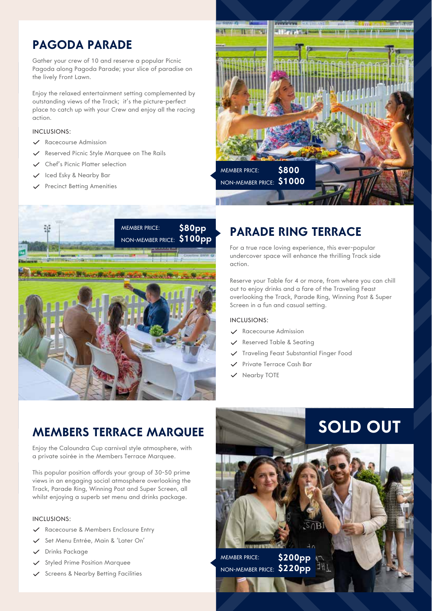### **PAGODA PARADE**

Gather your crew of 10 and reserve a popular Picnic Pagoda along Pagoda Parade; your slice of paradise on the lively Front Lawn.

Enjoy the relaxed entertainment setting complemented by outstanding views of the Track; it's the picture-perfect place to catch up with your Crew and enjoy all the racing action.

#### INCLUSIONS:

- $\checkmark$  Racecourse Admission
- $\checkmark$  Reserved Picnic Style Marquee on The Rails
- Chef's Picnic Platter selection
- $\checkmark$  Iced Esky & Nearby Bar
- $\checkmark$  Precinct Betting Amenities





### **PARADE RING TERRACE**

For a true race loving experience, this ever-popular undercover space will enhance the thrilling Track side action.

Reserve your Table for 4 or more, from where you can chill out to enjoy drinks and a fare of the Traveling Feast overlooking the Track, Parade Ring, Winning Post & Super Screen in a fun and casual setting.

**SOLD OUT**

#### INCLUSIONS:

- Racecourse Admission
- $\checkmark$  Reserved Table & Seating
- Traveling Feast Substantial Finger Food
- Private Terrace Cash Bar
- $\vee$  Nearby TOTE

### **MEMBERS TERRACE MARQUEE**

Enjoy the Caloundra Cup carnival style atmosphere, with a private soirée in the Members Terrace Marquee.

This popular position affords your group of 30-50 prime views in an engaging social atmosphere overlooking the Track, Parade Ring, Winning Post and Super Screen, all whilst enjoying a superb set menu and drinks package.

#### INCLUSIONS:

- Racecourse & Members Enclosure Entry
- Set Menu Entrée, Main & 'Later On'
- Drinks Package
- $\checkmark$  Styled Prime Position Marquee
- Screens & Nearby Betting Facilities

MEMBER PRICE: **\$200pp** NON-MEMBER PRICE: **\$220pp**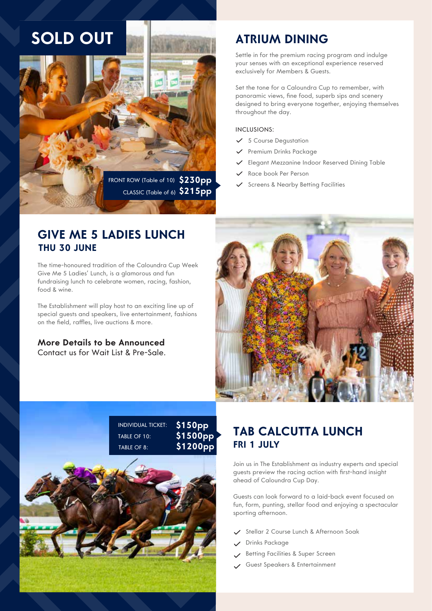## **SOLD OUT**



### **ATRIUM DINING**

Settle in for the premium racing program and indulge your senses with an exceptional experience reserved exclusively for Members & Guests.

Set the tone for a Caloundra Cup to remember, with panoramic views, fine food, superb sips and scenery designed to bring everyone together, enjoying themselves throughout the day.

#### INCLUSIONS:

- $\checkmark$  5 Course Dequstation
- $\checkmark$  Premium Drinks Package
- Elegant Mezzanine Indoor Reserved Dining Table
- Race book Per Person
- 

### **GIVE ME 5 LADIES LUNCH THU 30 JUNE**

The time-honoured tradition of the Caloundra Cup Week Give Me 5 Ladies' Lunch, is a glamorous and fun fundraising lunch to celebrate women, racing, fashion, food & wine.

The Establishment will play host to an exciting line up of special guests and speakers, live entertainment, fashions on the field, raffles, live auctions & more.

#### **More Details to be Announced** Contact us for Wait List & Pre-Sale.



| <b>INDIVIDUAL TICKET:</b> | <u> \$150pp</u>      |
|---------------------------|----------------------|
| TABLE OF $101$            | \$1500 <sub>PP</sub> |
| TABLE OF $8^{\circ}$      | <b>\$1200pp</b>      |



### **TAB CALCUTTA LUNCH FRI 1 JULY**

Join us in The Establishment as industry experts and special guests preview the racing action with first-hand insight ahead of Caloundra Cup Day.

Guests can look forward to a laid-back event focused on fun, form, punting, stellar food and enjoying a spectacular sporting afternoon.

- Stellar 2 Course Lunch & Afternoon Soak
- Drinks Package
- Betting Facilities & Super Screen **Section**
- Guest Speakers & Entertainment